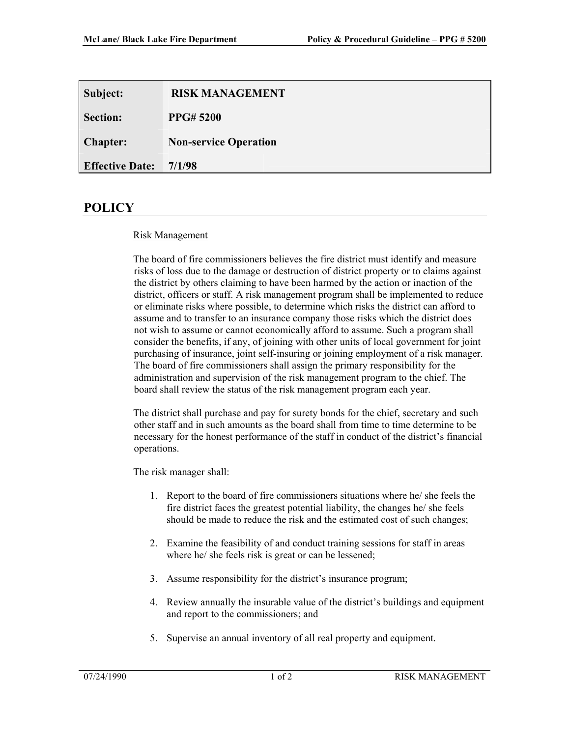| Subject:               | <b>RISK MANAGEMENT</b>       |  |
|------------------------|------------------------------|--|
| <b>Section:</b>        | <b>PPG#5200</b>              |  |
| <b>Chapter:</b>        | <b>Non-service Operation</b> |  |
| <b>Effective Date:</b> | 7/1/98                       |  |

## **POLICY**

## Risk Management

The board of fire commissioners believes the fire district must identify and measure risks of loss due to the damage or destruction of district property or to claims against the district by others claiming to have been harmed by the action or inaction of the district, officers or staff. A risk management program shall be implemented to reduce or eliminate risks where possible, to determine which risks the district can afford to assume and to transfer to an insurance company those risks which the district does not wish to assume or cannot economically afford to assume. Such a program shall consider the benefits, if any, of joining with other units of local government for joint purchasing of insurance, joint self-insuring or joining employment of a risk manager. The board of fire commissioners shall assign the primary responsibility for the administration and supervision of the risk management program to the chief. The board shall review the status of the risk management program each year.

The district shall purchase and pay for surety bonds for the chief, secretary and such other staff and in such amounts as the board shall from time to time determine to be necessary for the honest performance of the staff in conduct of the district's financial operations.

The risk manager shall:

- 1. Report to the board of fire commissioners situations where he/ she feels the fire district faces the greatest potential liability, the changes he/ she feels should be made to reduce the risk and the estimated cost of such changes;
- 2. Examine the feasibility of and conduct training sessions for staff in areas where he/ she feels risk is great or can be lessened;
- 3. Assume responsibility for the district's insurance program;
- 4. Review annually the insurable value of the district's buildings and equipment and report to the commissioners; and
- 5. Supervise an annual inventory of all real property and equipment.